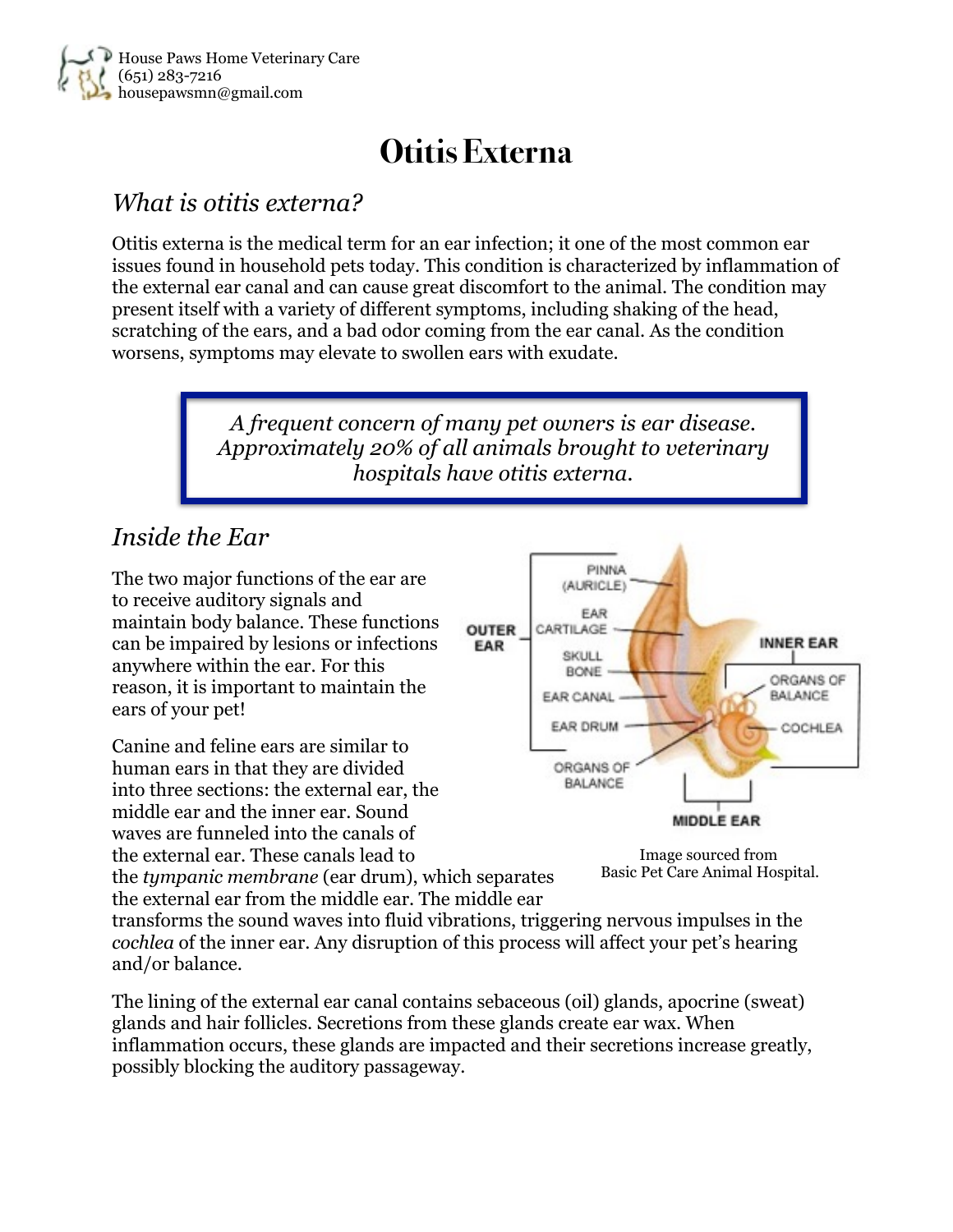

# **Otitis Externa**

#### *What is otitis externa?*

Otitis externa is the medical term for an ear infection; it one of the most common ear issues found in household pets today. This condition is characterized by inflammation of the external ear canal and can cause great discomfort to the animal. The condition may present itself with a variety of different symptoms, including shaking of the head, scratching of the ears, and a bad odor coming from the ear canal. As the condition worsens, symptoms may elevate to swollen ears with exudate.

> *A frequent concern of many pet owners is ear disease. Approximately 20% of all animals brought to veterinary hospitals have otitis externa.*

## *Inside the Ear*

The two major functions of the ear are to receive auditory signals and maintain body balance. These functions can be impaired by lesions or infections anywhere within the ear. For this reason, it is important to maintain the ears of your pet!

Canine and feline ears are similar to human ears in that they are divided into three sections: the external ear, the middle ear and the inner ear. Sound waves are funneled into the canals of the external ear. These canals lead to





the *tympanic membrane* (ear drum), which separates the external ear from the middle ear. The middle ear

transforms the sound waves into fluid vibrations, triggering nervous impulses in the *cochlea* of the inner ear. Any disruption of this process will affect your pet's hearing and/or balance.

The lining of the external ear canal contains sebaceous (oil) glands, apocrine (sweat) glands and hair follicles. Secretions from these glands create ear wax. When inflammation occurs, these glands are impacted and their secretions increase greatly, possibly blocking the auditory passageway.